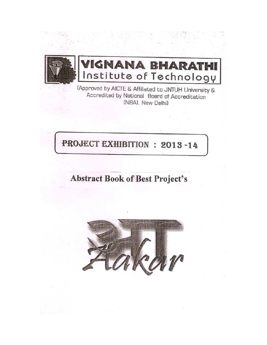

# **/IGNANA BHARATHI** Institute of Technology

(Approved by AICTE & Affiliated to JNTUH University & Accredited by National Board of Accreditation (NBA). New Delhi)

# **PROJECT EXHIBITION : 2013-14**

# **Abstract Book of Best Project's**

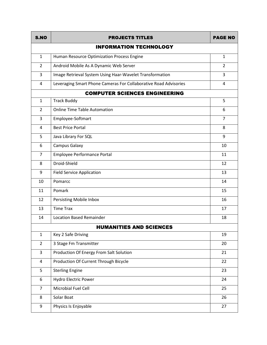| <b>S.NO</b>                          | <b>PROJECTS TITLES</b>                                           | <b>PAGE NO</b> |  |  |
|--------------------------------------|------------------------------------------------------------------|----------------|--|--|
| <b>INFORMATION TECHNOLOGY</b>        |                                                                  |                |  |  |
| $\mathbf{1}$                         | Human Resource Optimization Process Engine                       | $\mathbf{1}$   |  |  |
| $\overline{2}$                       | Android Mobile As A Dynamic Web Server                           | $\overline{2}$ |  |  |
| $\overline{3}$                       | Image Retrieval System Using Haar-Wavelet Transformation         | 3              |  |  |
| 4                                    | Leveraging Smart Phone Cameras For Collaborative Road Advisories | 4              |  |  |
| <b>COMPUTER SCIENCES ENGINEERING</b> |                                                                  |                |  |  |
| $\mathbf{1}$                         | <b>Track Buddy</b>                                               | 5              |  |  |
| $\overline{2}$                       | <b>Online Time Table Automation</b>                              | 6              |  |  |
| 3                                    | Employee-Softmart                                                | $\overline{7}$ |  |  |
| $\overline{4}$                       | <b>Best Price Portal</b>                                         | 8              |  |  |
| 5                                    | Java Library For SQL                                             | 9              |  |  |
| 6                                    | Campus Galaxy                                                    | 10             |  |  |
| $\overline{7}$                       | <b>Employee Performance Portal</b>                               | 11             |  |  |
| 8                                    | Droid-Shield                                                     | 12             |  |  |
| 9                                    | <b>Field Service Application</b>                                 | 13             |  |  |
| 10                                   | Pomarcc                                                          | 14             |  |  |
| 11                                   | Pomark                                                           | 15             |  |  |
| 12                                   | Persisting Mobile Inbox                                          | 16             |  |  |
| 13                                   | <b>Time Trax</b>                                                 | 17             |  |  |
| 14                                   | <b>Location Based Remainder</b>                                  | 18             |  |  |
|                                      | <b>HUMANITIES AND SCIENCES</b>                                   |                |  |  |
| $\mathbf{1}$                         | Key 2 Safe Driving                                               | 19             |  |  |
| $\overline{2}$                       | 3 Stage Fm Transmitter                                           | 20             |  |  |
| 3                                    | Production Of Energy From Salt Solution                          | 21             |  |  |
| $\overline{4}$                       | Production Of Current Through Bicycle                            | 22             |  |  |
| 5                                    | <b>Sterling Engine</b>                                           | 23             |  |  |
| 6                                    | Hydro Electric Power                                             | 24             |  |  |
| $\overline{7}$                       | Microbial Fuel Cell                                              | 25             |  |  |
| 8                                    | Solar Boat                                                       | 26             |  |  |
| 9                                    | Physics Is Enjoyable                                             | 27             |  |  |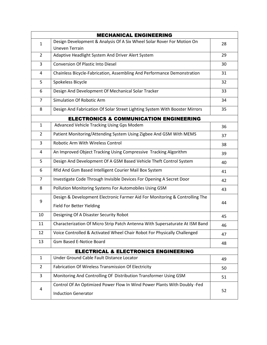| <b>MECHANICAL ENGINEERING</b>                      |                                                                              |    |  |  |
|----------------------------------------------------|------------------------------------------------------------------------------|----|--|--|
| $\mathbf{1}$                                       | Design Development & Analysis Of A Six Wheel Solar Rover For Motion On       | 28 |  |  |
|                                                    | <b>Uneven Terrain</b>                                                        |    |  |  |
| $\overline{2}$                                     | Adaptive Headlight System And Driver Alert System                            | 29 |  |  |
| 3                                                  | <b>Conversion Of Plastic Into Diesel</b>                                     | 30 |  |  |
| 4                                                  | Chainless Bicycle-Fabrication, Assembling And Performance Demonstration      | 31 |  |  |
| 5                                                  | Spokeless Bicycle                                                            | 32 |  |  |
| 6                                                  | Design And Development Of Mechanical Solar Tracker                           | 33 |  |  |
| $\overline{7}$                                     | <b>Simulation Of Robotic Arm</b>                                             | 34 |  |  |
| 8                                                  | Design And Fabrication Of Solar Street Lighting System With Booster Mirrors  | 35 |  |  |
| <b>ELECTRONICS &amp; COMMUNICATION ENGINEERING</b> |                                                                              |    |  |  |
| $\mathbf{1}$                                       | Advanced Vehicle Tracking Using Gps Modem                                    | 36 |  |  |
| $\overline{2}$                                     | Patient Monitoring/Attending System Using Zigbee And GSM With MEMS           | 37 |  |  |
| 3                                                  | <b>Robotic Arm With Wireless Control</b>                                     | 38 |  |  |
| $\overline{4}$                                     | An Improved Object Tracking Using Compressive Tracking Algorithm             | 39 |  |  |
| 5                                                  | Design And Development Of A GSM Based Vehicle Theft Control System           | 40 |  |  |
| 6                                                  | Rfid And Gsm Based Intelligent Courier Mail Box System                       | 41 |  |  |
| $\overline{7}$                                     | Investigate Code Through Invisible Devices For Opening A Secret Door         | 42 |  |  |
| 8                                                  | Pollution Monitoring Systems For Automobiles Using GSM                       | 43 |  |  |
| 9                                                  | Design & Development Electronic Farmer Aid For Monitoring & Controlling The  | 44 |  |  |
|                                                    | <b>Field For Better Yielding</b>                                             |    |  |  |
| 10                                                 | Designing Of A Disaster Security Robot                                       | 45 |  |  |
| 11                                                 | Characterization Of Micro Strip Patch Antenna With Supersaturate At ISM Band | 46 |  |  |
| 12                                                 | Voice Controlled & Activated Wheel Chair Robot For Physically Challenged     | 47 |  |  |
| 13                                                 | <b>Gsm Based E-Notice Board</b>                                              | 48 |  |  |
|                                                    | <b>ELECTRICAL &amp; ELECTRONICS ENGINEERING</b>                              |    |  |  |
| $\mathbf{1}$                                       | Under Ground Cable Fault Distance Locator                                    | 49 |  |  |
| $\overline{2}$                                     | Fabrication Of Wireless Transmission Of Electricity                          | 50 |  |  |
| 3                                                  | Monitoring And Controlling Of Distribution Transformer Using GSM             | 51 |  |  |
| 4                                                  | Control Of An Optimized Power Flow In Wind Power Plants With Doubly -Fed     |    |  |  |
|                                                    | <b>Induction Generator</b>                                                   | 52 |  |  |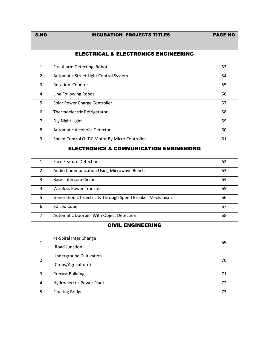| <b>S.NO</b>                                     | <b>INCUBATION PROJECTS TITLES</b>                         | <b>PAGE NO</b> |  |  |
|-------------------------------------------------|-----------------------------------------------------------|----------------|--|--|
| <b>ELECTRICAL &amp; ELECTRONICS ENGINEERING</b> |                                                           |                |  |  |
| $\mathbf{1}$                                    | Fire Alarm Detecting Robot                                | 53             |  |  |
| $\overline{2}$                                  | Automatic Street Light Control System                     | 54             |  |  |
| 3                                               | Rotation Counter                                          | 55             |  |  |
| $\overline{4}$                                  | Line Following Robot                                      | 56             |  |  |
| 5                                               | Solar Power Charge Controller                             | 57             |  |  |
| 6                                               | Thermoelectric Refrigerator                               | 58             |  |  |
| $\overline{7}$                                  | Diy Night Light                                           | 59             |  |  |
| 8                                               | <b>Automatic Alcoholic Detector</b>                       | 60             |  |  |
| 9                                               | Speed Control Of DC Motor By Micro Controller             | 61             |  |  |
|                                                 | <b>ELECTRONICS &amp; COMMUNICATION ENGINEERING</b>        |                |  |  |
| $\mathbf{1}$                                    | <b>Face Feature Detection</b>                             | 62             |  |  |
| $\overline{2}$                                  | Audio Communication Using Microwave Bench                 | 63             |  |  |
| $\overline{3}$                                  | <b>Basic Intercom Circuit</b>                             | 64             |  |  |
| $\overline{4}$                                  | <b>Wireless Power Transfer</b>                            | 65             |  |  |
| 5                                               | Generation Of Electricity Through Speed Breaker Mechanism | 66             |  |  |
| 6                                               | 3d Led Cube                                               | 67             |  |  |
| $\overline{7}$                                  | Automatic Doorbell With Object Detection                  | 68             |  |  |
|                                                 | <b>CIVIL ENGINEERING</b>                                  |                |  |  |
| $\mathbf{1}$                                    | 4s-Spiral Inter Change                                    | 69             |  |  |
|                                                 | (Road Junction)                                           |                |  |  |
| $\overline{2}$                                  | <b>Underground Cultivation</b>                            | 70             |  |  |
|                                                 | (Crops/Agriculture)                                       |                |  |  |
| $\overline{3}$                                  | <b>Precast Building</b>                                   | 71             |  |  |
| $\overline{4}$                                  | <b>Hydroelectric Power Plant</b>                          | 72             |  |  |
| 5                                               | <b>Floating Bridge</b>                                    | 73             |  |  |
|                                                 |                                                           |                |  |  |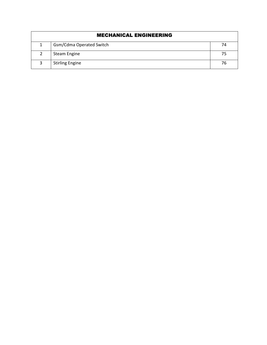| <b>MECHANICAL ENGINEERING</b> |                          |    |  |  |
|-------------------------------|--------------------------|----|--|--|
|                               | Gsm/Cdma Operated Switch | 74 |  |  |
|                               | <b>Steam Engine</b>      | 75 |  |  |
|                               | <b>Stirling Engine</b>   | 76 |  |  |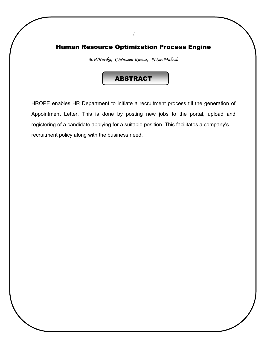## Human Resource Optimization Process Engine

*1*

*B.H.Harika, G.Naveen Kumar, N.Sai Mahesh* 

#### **ABSTRACT**

HROPE enables HR Department to initiate a recruitment process till the generation of Appointment Letter. This is done by posting new jobs to the portal, upload and registering of a candidate applying for a suitable position. This facilitates a company's recruitment policy along with the business need.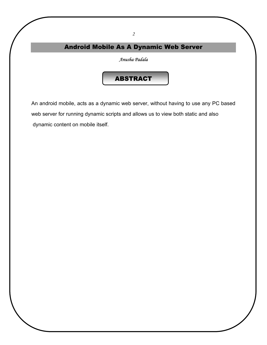## Android Mobile As A Dynamic Web Server

*Anusha Padala* 

#### **ABSTRACT**

An android mobile, acts as a dynamic web server, without having to use any PC based web server for running dynamic scripts and allows us to view both static and also dynamic content on mobile itself.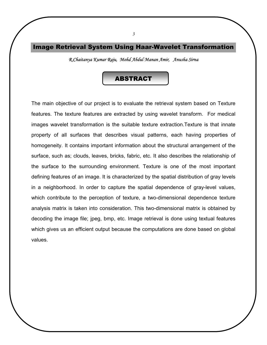### Image Retrieval System Using Haar-Wavelet Transformation

*R.Chaitanya Kumar Raju, Mohd Abdul Manan Amir, Anusha Sirna* 

#### ABSTRACT

The main objective of our project is to evaluate the retrieval system based on Texture features. The texture features are extracted by using wavelet transform. For medical images wavelet transformation is the suitable texture extraction.Texture is that innate property of all surfaces that describes visual patterns, each having properties of homogeneity. It contains important information about the structural arrangement of the surface, such as; clouds, leaves, bricks, fabric, etc. It also describes the relationship of the surface to the surrounding environment. Texture is one of the most important defining features of an image. It is characterized by the spatial distribution of gray levels in a neighborhood. In order to capture the spatial dependence of gray-level values, which contribute to the perception of texture, a two-dimensional dependence texture analysis matrix is taken into consideration. This two-dimensional matrix is obtained by decoding the image file; jpeg, bmp, etc. Image retrieval is done using textual features which gives us an efficient output because the computations are done based on global values.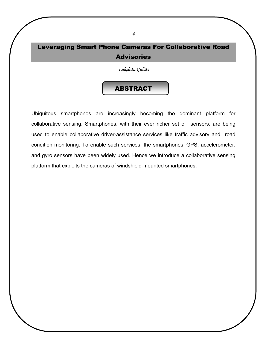## Leveraging Smart Phone Cameras For Collaborative Road **Advisories**

*Lakshita Gulati* 

#### ABSTRACT

Ubiquitous smartphones are increasingly becoming the dominant platform for collaborative sensing. Smartphones, with their ever richer set of sensors, are being used to enable collaborative driver-assistance services like traffic advisory and road condition monitoring. To enable such services, the smartphones' GPS, accelerometer, and gyro sensors have been widely used. Hence we introduce a collaborative sensing platform that exploits the cameras of windshield-mounted smartphones.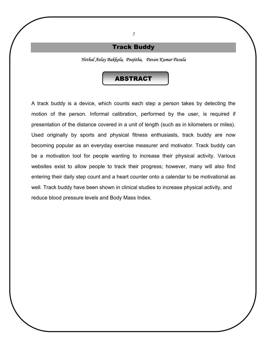#### Track Buddy

*5* 

*Hethal Aelay Bakkola, Poojitha, Pavan Kumar Pasula* 

#### ABSTRACT

A track buddy is a device, which counts each step a person takes by detecting the motion of the person. Informal calibration, performed by the user, is required if presentation of the distance covered in a unit of length (such as in kilometers or miles). Used originally by sports and physical fitness enthusiasts, track buddy are now becoming popular as an everyday exercise measurer and motivator. Track buddy can be a motivation tool for people wanting to increase their physical activity. Various websites exist to allow people to track their progress; however, many will also find entering their daily step count and a heart counter onto a calendar to be motivational as well. Track buddy have been shown in clinical studies to increase physical activity, and reduce blood pressure levels and Body Mass Index.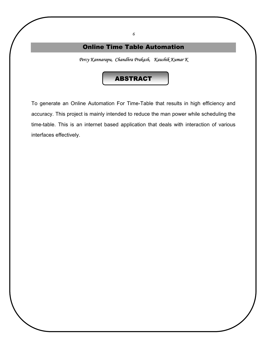#### Online Time Table Automation

*Percy Kannarapu, Chandhra Prakash, Kaushik Kumar K* 

#### ABSTRACT

To generate an Online Automation For Time-Table that results in high efficiency and accuracy. This project is mainly intended to reduce the man power while scheduling the time-table. This is an internet based application that deals with interaction of various interfaces effectively.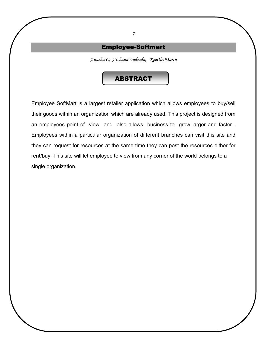#### Employee-Softmart

*7* 

*Anusha G, Archana Vodnala, Keerthi Marru* 

#### ABSTRACT

Employee SoftMart is a largest retailer application which allows employees to buy/sell their goods within an organization which are already used. This project is designed from an employees point of view and also allows business to grow larger and faster . Employees within a particular organization of different branches can visit this site and they can request for resources at the same time they can post the resources either for rent/buy. This site will let employee to view from any corner of the world belongs to a single organization.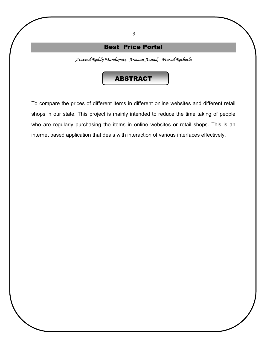## Best Price Portal

*8* 

*Aravind Reddy Mandapati, Armaan Azaad, Prasad Recherla* 

#### ABSTRACT

To compare the prices of different items in different online websites and different retail shops in our state. This project is mainly intended to reduce the time taking of people who are regularly purchasing the items in online websites or retail shops. This is an internet based application that deals with interaction of various interfaces effectively.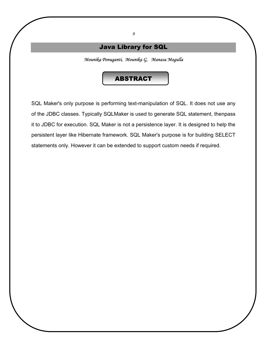### Java Library for SQL

*9* 

*Mounika Ponuganti, Mounika G, Manasa Mogulla* 

#### ABSTRACT

SQL Maker's only purpose is performing text-manipulation of SQL. It does not use any of the JDBC classes. Typically SQLMaker is used to generate SQL statement, thenpass it to JDBC for execution. SQL Maker is not a persistence layer. It is designed to help the persistent layer like Hibernate framework. SQL Maker's purpose is for building SELECT statements only. However it can be extended to support custom needs if required.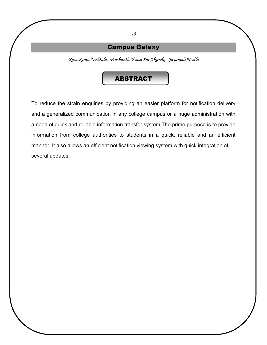#### Campus Galaxy

*Ravi Kiran Nishtala, Prashanth Vyasa Sai Akundi, Jayanjali Neella* 

#### ABSTRACT

To reduce the strain enquiries by providing an easier platform for notification delivery and a generalized communication in any college campus or a huge administration with a need of quick and reliable information transfer system.The prime purpose is to provide information from college authorities to students in a quick, reliable and an efficient manner. It also allows an efficient notification viewing system with quick integration of several updates.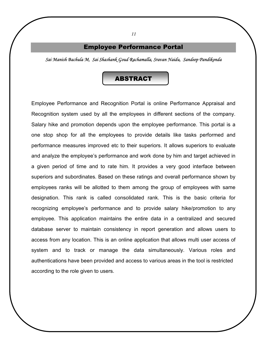#### Employee Performance Portal

*Sai Manish Bachula M, Sai Shashank Goud Rachamalla, Sravan Naidu, Sandeep Pandikonda* 

#### ABSTRACT

Employee Performance and Recognition Portal is online Performance Appraisal and Recognition system used by all the employees in different sections of the company. Salary hike and promotion depends upon the employee performance. This portal is a one stop shop for all the employees to provide details like tasks performed and performance measures improved etc to their superiors. It allows superiors to evaluate and analyze the employee's performance and work done by him and target achieved in a given period of time and to rate him. It provides a very good interface between superiors and subordinates. Based on these ratings and overall performance shown by employees ranks will be allotted to them among the group of employees with same designation. This rank is called consolidated rank. This is the basic criteria for recognizing employee's performance and to provide salary hike/promotion to any employee. This application maintains the entire data in a centralized and secured database server to maintain consistency in report generation and allows users to access from any location. This is an online application that allows multi user access of system and to track or manage the data simultaneously. Various roles and authentications have been provided and access to various areas in the tool is restricted according to the role given to users.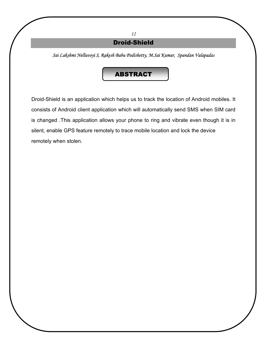#### Droid-Shield

*12* 

*Sai Lakshmi Nelluvoyi S, Rakesh Babu Podishetty, M.Sai Kumar, Spandan Valapadas* 

#### ABSTRACT

Droid-Shield is an application which helps us to track the location of Android mobiles. It consists of Android client application which will automatically send SMS when SIM card is changed .This application allows your phone to ring and vibrate even though it is in silent, enable GPS feature remotely to trace mobile location and lock the device remotely when stolen.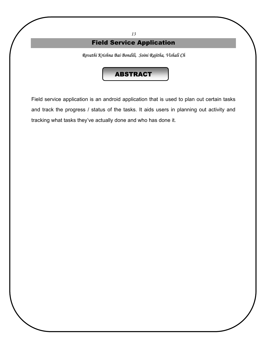## Field Service Application

*13* 

*Revathi Krishna Bai Bondili, Soini Rajitha, Vishali Ch* 

#### ABSTRACT

Field service application is an android application that is used to plan out certain tasks and track the progress / status of the tasks. It aids users in planning out activity and tracking what tasks they've actually done and who has done it.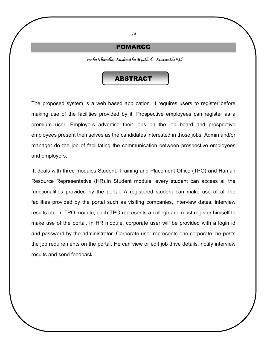#### POMARCC

*Sneha Thandle, Sushmitha Byathol, Sravanthi Ml* 

#### ABSTRACT

The proposed system is a web based application. It requires users to register before making use of the facilities provided by it. Prospective employees can register as a premium user. Employers advertise their jobs on the job board and prospective employees present themselves as the candidates interested in those jobs. Admin and/or manager do the job of facilitating the communication between prospective employees and employers.

 It deals with three modules Student, Training and Placement Office (TPO) and Human Resource Representative (HR).In Student module, every student can access all the functionalities provided by the portal. A registered student can make use of all the facilities provided by the portal such as visiting companies, interview dates, interview results etc. In TPO module, each TPO represents a college and must register himself to make use of the portal. In HR module, corporate user will be provided with a login id and password by the administrator. Corporate user represents one corporate; he posts the job requirements on the portal. He can view or edit job drive details, notify interview results and send feedback.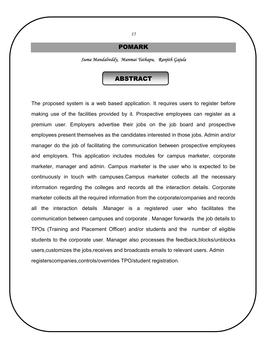#### POMARK

*Suma Mandalreddy, Manmai Yathapu, Ranjith Gajula* 

#### ABSTRACT

The proposed system is a web based application. It requires users to register before making use of the facilities provided by it. Prospective employees can register as a premium user. Employers advertise their jobs on the job board and prospective employees present themselves as the candidates interested in those jobs. Admin and/or manager do the job of facilitating the communication between prospective employees and employers. This application includes modules for campus marketer, corporate marketer, manager and admin. Campus marketer is the user who is expected to be continuously in touch with campuses.Campus marketer collects all the necessary information regarding the colleges and records all the interaction details. Corporate marketer collects all the required information from the corporate/companies and records all the interaction details .Manager is a registered user who facilitates the communication between campuses and corporate . Manager forwards the job details to TPOs (Training and Placement Officer) and/or students and the number of eligible students to the corporate user. Manager also processes the feedback,blocks/unblocks users,customizes the jobs,receives and broadcasts emails to relevant users. Admin registerscompanies,controls/overrides TPO/student registration.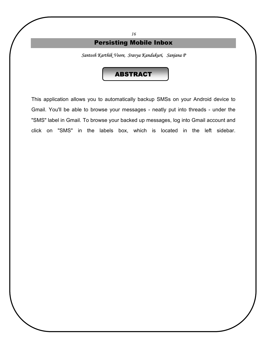## Persisting Mobile Inbox

*16* 

*Santosh Karthik Voore, Sravya Kandukuri, Sanjana P* 

#### ABSTRACT

This application allows you to automatically backup SMSs on your Android device to Gmail. You'll be able to browse your messages - neatly put into threads - under the "SMS" label in Gmail. To browse your backed up messages, log into Gmail account and click on "SMS" in the labels box, which is located in the left sidebar.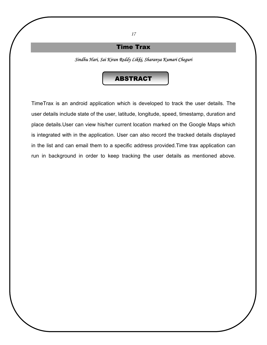#### Time Trax

*Sindhu Hari, Sai Kiran Reddy Likki, Sharanya Kumari Cheguri* 

#### ABSTRACT

TimeTrax is an android application which is developed to track the user details. The user details include state of the user, latitude, longitude, speed, timestamp, duration and place details.User can view his/her current location marked on the Google Maps which is integrated with in the application. User can also record the tracked details displayed in the list and can email them to a specific address provided.Time trax application can run in background in order to keep tracking the user details as mentioned above.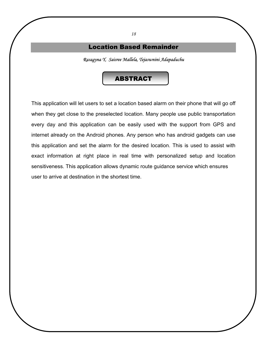#### Location Based Remainder

*Rasagyna Y, Saisree Mallela, Tejaswnini Adapaduchu* 

#### ABSTRACT

This application will let users to set a location based alarm on their phone that will go off when they get close to the preselected location. Many people use public transportation every day and this application can be easily used with the support from GPS and internet already on the Android phones. Any person who has android gadgets can use this application and set the alarm for the desired location. This is used to assist with exact information at right place in real time with personalized setup and location sensitiveness. This application allows dynamic route guidance service which ensures user to arrive at destination in the shortest time.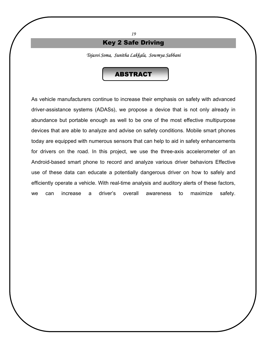#### Key 2 Safe Driving

*19* 

*Tejasvi Soma, Sunitha Lakkala, Sowmya Sabbani* 

#### ABSTRACT

As vehicle manufacturers continue to increase their emphasis on safety with advanced driver-assistance systems (ADASs), we propose a device that is not only already in abundance but portable enough as well to be one of the most effective multipurpose devices that are able to analyze and advise on safety conditions. Mobile smart phones today are equipped with numerous sensors that can help to aid in safety enhancements for drivers on the road. In this project, we use the three-axis accelerometer of an Android-based smart phone to record and analyze various driver behaviors Effective use of these data can educate a potentially dangerous driver on how to safely and efficiently operate a vehicle. With real-time analysis and auditory alerts of these factors, we can increase a driver's overall awareness to maximize safety.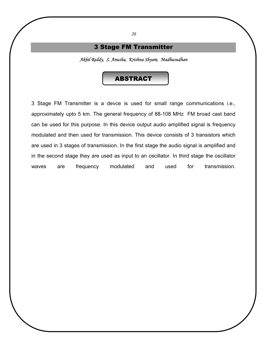#### 3 Stage FM Transmitter

*Akhil Reddy, S. Anusha, Krishna Shyam, Madhusudhan* 

#### ABSTRACT

3 Stage FM Transmitter is a devce is used for small range communications i.e., approximately upto 5 km. The general frequency of 88-108 MHz FM broad cast band can be used for this purpose. In this device output audio amplified signal is frequency modulated and then used for transmission. This device consists of 3 transistors which are used in 3 stages of transmission. In the first stage the audio signal is amplified and in the second stage they are used as input to an oscillator. In third stage the oscillator waves are frequency modulated and used for transmission.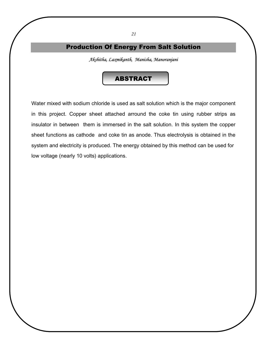### Production Of Energy From Salt Solution

*Akshitha, Laxmikanth, Manisha, Manoranjani* 

#### ABSTRACT

Water mixed with sodium chloride is used as salt solution which is the major component in this project. Copper sheet attached arround the coke tin using rubber strips as insulator in between them is immersed in the salt solution. In this system the copper sheet functions as cathode and coke tin as anode. Thus electrolysis is obtained in the system and electricity is produced. The energy obtained by this method can be used for low voltage (nearly 10 volts) applications.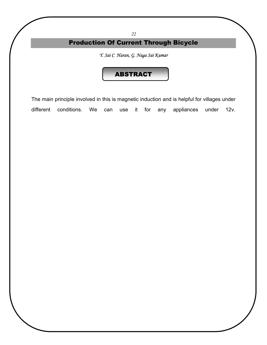# Production Of Current Through Bicycle

*22* 

*Y. Sai C Haran, G. Naga Sai Kumar* 

#### ABSTRACT

The main principle involved in this is magnetic induction and is helpful for villages under different conditions. We can use it for any appliances under 12v.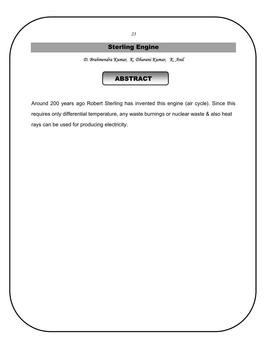## Sterling Engine

*D. Brahmendra Kumar, K. Dharani Kumar, K. Anil* 

#### ABSTRACT

Around 200 years ago Robert Sterling has invented this engine (air cycle). Since this requires only differential temperature, any waste burnings or nuclear waste & also heat rays can be used for producing electricity.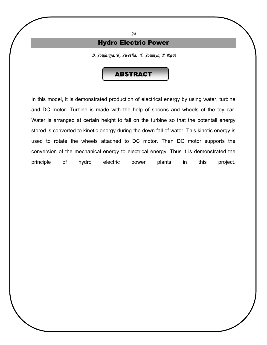#### Hydro Electric Power

*24* 

*B. Soujanya, K. Swetha, A. Soumya, P. Ravi* 

#### ABSTRACT

In this model, it is demonstrated production of electrical energy by using water, turbine and DC motor. Turbine is made with the help of spoons and wheels of the toy car. Water is arranged at certain height to fall on the turbine so that the potentail energy stored is converted to kinetic energy during the down fall of water. This kinetic energy is used to rotate the wheels attached to DC motor. Then DC motor supports the conversion of the mechanical energy to electrical energy. Thus it is demonstrated the principle of hydro electric power plants in this project.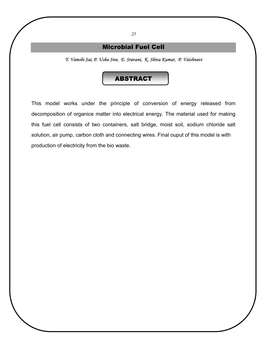#### Microbial Fuel Cell

*Y. Vamshi Sai, P. Usha Sree, E. Sravani, K. Shiva Kumar, P. Vaishnavi* 

#### ABSTRACT

This model works under the principle of conversion of energy released from decomposition of organice matter into electrical energy. The material used for making this fuel cell consists of two containers, salt bridge, moist soil, sodium chloride salt solution, air pump, carbon cloth and connecting wires. Final ouput of this model is with production of electricity from the bio waste.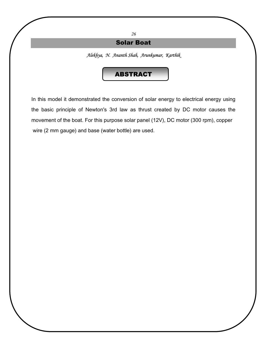#### Solar Boat

*26* 

*Alekhya, N. Ananth Shah, Arunkumar, Karthik* 

#### ABSTRACT

In this model it demonstrated the conversion of solar energy to electrical energy using the basic principle of Newton's 3rd law as thrust created by DC motor causes the movement of the boat. For this purpose solar panel (12V), DC motor (300 rpm), copper wire (2 mm gauge) and base (water bottle) are used.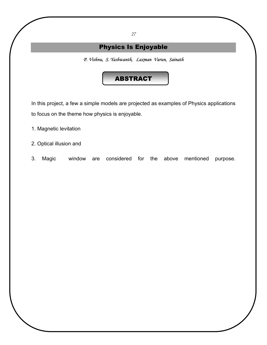## Physics Is Enjoyable

*27* 

*P. Vishnu, S. Yashwanth, Laxman Varun, Sainath* 

#### ABSTRACT

In this project, a few a simple models are projected as examples of Physics applications to focus on the theme how physics is enjoyable.

1. Magnetic levitation

2. Optical illusion and

3. Magic window are considered for the above mentioned purpose.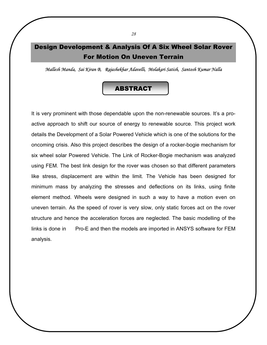## Design Development & Analysis Of A Six Wheel Solar Rover For Motion On Uneven Terrain

*Mallesh Manda, Sai Kiran B, Rajashekhar Adavelli, Molakari Satish, Santosh Kumar Nalla* 

#### ABSTRACT

It is very prominent with those dependable upon the non-renewable sources. It's a proactive approach to shift our source of energy to renewable source. This project work details the Development of a Solar Powered Vehicle which is one of the solutions for the oncoming crisis. Also this project describes the design of a rocker-bogie mechanism for six wheel solar Powered Vehicle. The Link of Rocker-Bogie mechanism was analyzed using FEM. The best link design for the rover was chosen so that different parameters like stress, displacement are within the limit. The Vehicle has been designed for minimum mass by analyzing the stresses and deflections on its links, using finite element method. Wheels were designed in such a way to have a motion even on uneven terrain. As the speed of rover is very slow, only static forces act on the rover structure and hence the acceleration forces are neglected. The basic modelling of the links is done in Pro-E and then the models are imported in ANSYS software for FEM analysis.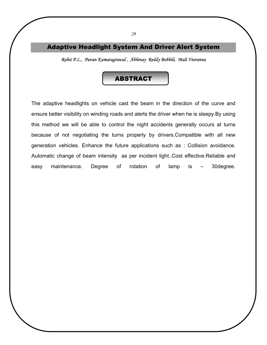#### Adaptive Headlight System And Driver Alert System

*Rohit P.L., Pavan Kumaragrawal , Abhinay Reddy Bobbili, Mali Veeranna* 

#### **ABSTRACT**

The adaptive headlights on vehicle cast the beam in the direction of the curve and ensure better visibility on winding roads and alerts the driver when he is sleepy.By using this method we will be able to control the night accidents generally occurs at turns because of not negotiating the turns properly by drivers.Compatible with all new generation vehicles. Enhance the future applications such as : Collision avoidance. Automatic change of beam intensity as per incident light..Cost effective.Reliable and easy maintenance. Degree of rotation of lamp is – 30degree.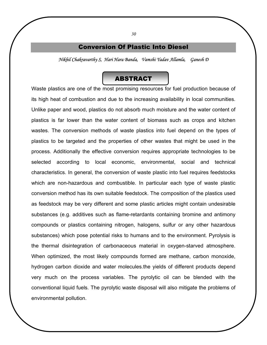#### Conversion Of Plastic Into Diesel

*Nikhil Chakravarthy S, Hari Hara Banda, Vamshi Yadav Allamla, Ganesh D* 

#### ABSTRACT

Waste plastics are one of the most promising resources for fuel production because of its high heat of combustion and due to the increasing availability in local communities. Unlike paper and wood, plastics do not absorb much moisture and the water content of plastics is far lower than the water content of biomass such as crops and kitchen wastes. The conversion methods of waste plastics into fuel depend on the types of plastics to be targeted and the properties of other wastes that might be used in the process. Additionally the effective conversion requires appropriate technologies to be selected according to local economic, environmental, social and technical characteristics. In general, the conversion of waste plastic into fuel requires feedstocks which are non-hazardous and combustible. In particular each type of waste plastic conversion method has its own suitable feedstock. The composition of the plastics used as feedstock may be very different and some plastic articles might contain undesirable substances (e.g. additives such as flame-retardants containing bromine and antimony compounds or plastics containing nitrogen, halogens, sulfur or any other hazardous substances) which pose potential risks to humans and to the environment. Pyrolysis is the thermal disintegration of carbonaceous material in oxygen-starved atmosphere. When optimized, the most likely compounds formed are methane, carbon monoxide, hydrogen carbon dioxide and water molecules.the yields of different products depend very much on the process variables. The pyrolytic oil can be blended with the conventional liquid fuels. The pyrolytic waste disposal will also mitigate the problems of environmental pollution.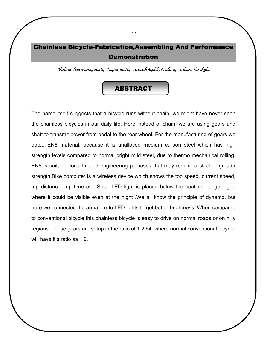## Chainless Bicycle-Fabrication,Assembling And Performance Demonstration

*Vishnu Teja Punugupati, Nagarjun S., Srivesh Reddy Guduru, Srihari Yarukala* 

#### ABSTRACT

The name itself suggests that a bicycle runs without chain, we might have never seen the chainless bicycles in our daily life. Here instead of chain, we are using gears and shaft to transmit power from pedal to the rear wheel. For the manufacturing of gears we opted EN8 material, because it is unalloyed medium carbon steel which has high strength levels compared to normal bright mild steel, due to thermo mechanical rolling. EN8 is suitable for all round engineering purposes that may require a steel of greater strength.Bike computer is a wireless device which shows the top speed, current speed, trip distance, trip time etc. Solar LED light is placed below the seat as danger light, where it could be visible even at the night .We all know the principle of dynamo, but here we connected the armature to LED lights to get better brightness. When compared to conventional bicycle this chainless bicycle is easy to drive on normal roads or on hilly regions .These gears are setup in the ratio of 1:2.64 ,where normal conventional bicycle will have it's ratio as 1:2.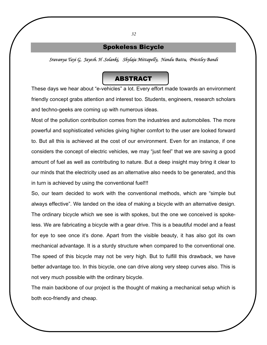### Spokeless Bicycle

*Sravanya Tayi G, Jayesh. H .Solanki, Shylaja Mittapelly, Nandu Battu, Priestley Bandi* 

# ABSTRACT

These days we hear about "e-vehicles" a lot. Every effort made towards an environment friendly concept grabs attention and interest too. Students, engineers, research scholars and techno-geeks are coming up with numerous ideas.

Most of the pollution contribution comes from the industries and automobiles. The more powerful and sophisticated vehicles giving higher comfort to the user are looked forward to. But all this is achieved at the cost of our environment. Even for an instance, if one considers the concept of electric vehicles, we may "just feel" that we are saving a good amount of fuel as well as contributing to nature. But a deep insight may bring it clear to our minds that the electricity used as an alternative also needs to be generated, and this in turn is achieved by using the conventional fuel!!!

So, our team decided to work with the conventional methods, which are "simple but always effective". We landed on the idea of making a bicycle with an alternative design. The ordinary bicycle which we see is with spokes, but the one we conceived is spokeless. We are fabricating a bicycle with a gear drive. This is a beautiful model and a feast for eye to see once it's done. Apart from the visible beauty, it has also got its own mechanical advantage. It is a sturdy structure when compared to the conventional one. The speed of this bicycle may not be very high. But to fulfill this drawback, we have better advantage too. In this bicycle, one can drive along very steep curves also. This is not very much possible with the ordinary bicycle.

The main backbone of our project is the thought of making a mechanical setup which is both eco-friendly and cheap.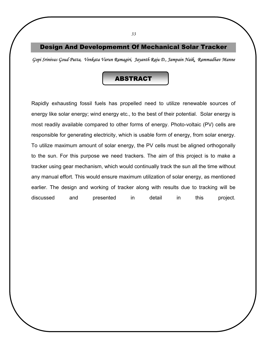# Design And Developmemnt Of Mechanical Solar Tracker

*Gopi Srinivas Goud Putta, Venkata Varun Ramagiri, Jayanth Raju D., Jampain Naik, Rammadhav Manne* 

### ABSTRACT

Rapidly exhausting fossil fuels has propelled need to utilize renewable sources of energy like solar energy; wind energy etc., to the best of their potential. Solar energy is most readily available compared to other forms of energy. Photo-voltaic (PV) cells are responsible for generating electricity, which is usable form of energy, from solar energy. To utilize maximum amount of solar energy, the PV cells must be aligned orthogonally to the sun. For this purpose we need trackers. The aim of this project is to make a tracker using gear mechanism, which would continually track the sun all the time without any manual effort. This would ensure maximum utilization of solar energy, as mentioned earlier. The design and working of tracker along with results due to tracking will be discussed and presented in detail in this project.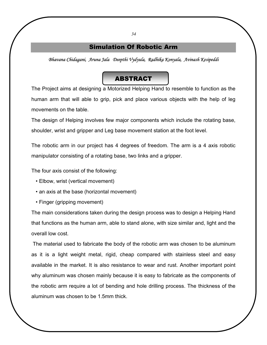### Simulation Of Robotic Arm

*Bhavana Chidagani, Aruna Jala Deepthi Vydyula, Radhika Konyala, Avinash Kesipeddi* 

### ABSTRACT

The Project aims at designing a Motorized Helping Hand to resemble to function as the human arm that will able to grip, pick and place various objects with the help of leg movements on the table.

The design of Helping involves few major components which include the rotating base, shoulder, wrist and gripper and Leg base movement station at the foot level.

The robotic arm in our project has 4 degrees of freedom. The arm is a 4 axis robotic manipulator consisting of a rotating base, two links and a gripper.

The four axis consist of the following:

- Elbow, wrist (vertical movement)
- an axis at the base (horizontal movement)
- Finger (gripping movement)

The main considerations taken during the design process was to design a Helping Hand that functions as the human arm, able to stand alone, with size similar and, light and the overall low cost.

 The material used to fabricate the body of the robotic arm was chosen to be aluminum as it is a light weight metal, rigid, cheap compared with stainless steel and easy available in the market. It is also resistance to wear and rust. Another important point why aluminum was chosen mainly because it is easy to fabricate as the components of the robotic arm require a lot of bending and hole drilling process. The thickness of the aluminum was chosen to be 1.5mm thick.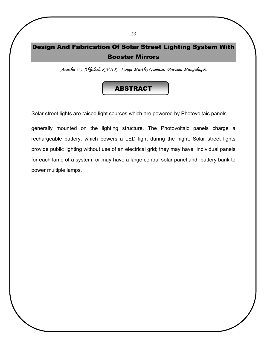# Design And Fabrication Of Solar Street Lighting System With Booster Mirrors

*Anusha V., Akhilesh K V S S, Linga Murthy Gumasa, Praveen Mangalagiri* 



Solar street lights are raised light sources which are powered by Photovoltaic panels

generally mounted on the lighting structure. The Photovoltaic panels charge a rechargeable battery, which powers a LED light during the night. Solar street lights provide public lighting without use of an electrical grid; they may have individual panels for each lamp of a system, or may have a large central solar panel and battery bank to power multiple lamps.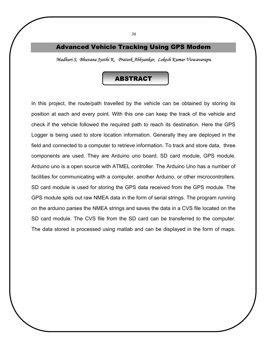# Advanced Vehicle Tracking Using GPS Modem

*Madhuri S, Bhuvana Jyothi K, Prateek Abhyankar, Lokesh Kumar Viswavarapu* 

### ABSTRACT

In this project, the route/path travelled by the vehicle can be obtained by storing its position at each and every point. With this one can keep the track of the vehicle and check if the vehicle followed the required path to reach its destination. Here the GPS Logger is being used to store location information. Generally they are deployed in the field and connected to a computer to retrieve information. To track and store data, three components are used. They are Arduino uno board, SD card module, GPS module. Arduino uno is a open source with ATMEL controller. The Arduino Uno has a number of facilities for communicating with a computer, another Arduino, or other microcontrollers. SD card module is used for storing the GPS data received from the GPS module. The GPS module spits out raw NMEA data in the form of serial strings. The program running on the arduino parses the NMEA strings and saves the data in a CVS file located on the SD card module. The CVS file from the SD card can be transferred to the computer. The data stored is processed using matlab and can be displayed in the form of maps.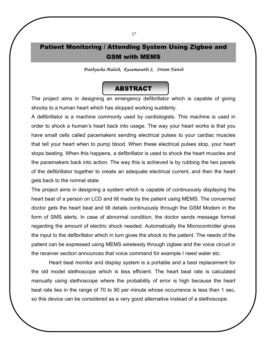# Patient Monitoring / Attending System Using Zigbee and GSM with MEMS

*Prathyusha Maloth, Kusumavathi S, Sriram Naresh* 

### ABSTRACT

The project aims in designing an emergency defibrillator which is capable of giving shocks to a human heart which has stopped working suddenly.

A defibrillator is a machine commonly used by cardiologists. This machine is used in order to shock a human's heart back into usage. The way your heart works is that you have small cells called pacemakers sending electrical pulses to your cardiac muscles that tell your heart when to pump blood. When these electrical pulses stop, your heart stops beating. When this happens, a defibrillator is used to shock the heart muscles and the pacemakers back into action. The way this is achieved is by rubbing the two panels of the defibrillator together to create an adequate electrical current, and then the heart gets back to the normal state.

The project aims in designing a system which is capable of continuously displaying the heart beat of a person on LCD and tilt made by the patient using MEMS. The concerned doctor gets the heart beat and tilt details continuously through the GSM Modem in the form of SMS alerts. In case of abnormal condition, the doctor sends message format regarding the amount of electric shock needed. Automatically the Microcontroller gives the input to the defibrillator which in turn gives the shock to the patient. The needs of the patient can be expressed using MEMS wirelessly through zigbee and the voice circuit in the receiver section announces that voice command for example I need water etc.

 Heart beat monitor and display system is a portable and a best replacement for the old model stethoscope which is less efficient. The heart beat rate is calculated manually using stethoscope where the probability of error is high because the heart beat rate lies in the range of 70 to 90 per minute whose occurrence is less than 1 sec, so this device can be considered as a very good alternative instead of a stethoscope.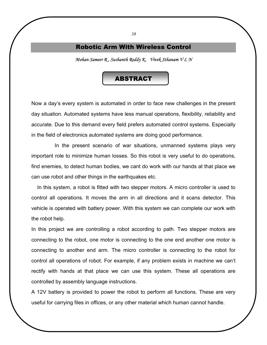#### Robotic Arm With Wireless Control

*Mohan Sameer R , Sushanth Reddy K, Vivek Sthanam V L N* 

### ABSTRACT

Now a day's every system is automated in order to face new challenges in the present day situation. Automated systems have less manual operations, flexibility, reliability and accurate. Due to this demand every field prefers automated control systems. Especially in the field of electronics automated systems are doing good performance.

 In the present scenario of war situations, unmanned systems plays very important role to minimize human losses. So this robot is very useful to do operations, find enemies, to detect human bodies, we cant do work with our hands at that place we can use robot and other things in the earthquakes etc.

 In this system, a robot is fitted with two stepper motors. A micro controller is used to control all operations. It moves the arm in all directions and it scans detector. This vehicle is operated with battery power. With this system we can complete our work with the robot help.

In this project we are controlling a robot according to path. Two stepper motors are connecting to the robot, one motor is connecting to the one end another one motor is connecting to another end arm. The micro controller is connecting to the robot for control all operations of robot. For example, if any problem exists in machine we can't rectify with hands at that place we can use this system. These all operations are controlled by assembly language instructions.

A 12V battery is provided to power the robot to perform all functions. These are very useful for carrying files in offices, or any other material which human cannot handle.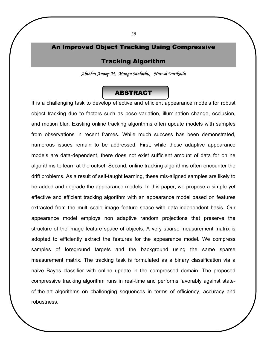# An Improved Object Tracking Using Compressive

#### Tracking Algorithm

*Abibhai Anoop M, Mangu Malothu, Naresh Varikollu* 

### ABSTRACT

It is a challenging task to develop effective and efficient appearance models for robust object tracking due to factors such as pose variation, illumination change, occlusion, and motion blur. Existing online tracking algorithms often update models with samples from observations in recent frames. While much success has been demonstrated, numerous issues remain to be addressed. First, while these adaptive appearance models are data-dependent, there does not exist sufficient amount of data for online algorithms to learn at the outset. Second, online tracking algorithms often encounter the drift problems. As a result of self-taught learning, these mis-aligned samples are likely to be added and degrade the appearance models. In this paper, we propose a simple yet effective and efficient tracking algorithm with an appearance model based on features extracted from the multi-scale image feature space with data-independent basis. Our appearance model employs non adaptive random projections that preserve the structure of the image feature space of objects. A very sparse measurement matrix is adopted to efficiently extract the features for the appearance model. We compress samples of foreground targets and the background using the same sparse measurement matrix. The tracking task is formulated as a binary classification via a naive Bayes classifier with online update in the compressed domain. The proposed compressive tracking algorithm runs in real-time and performs favorably against stateof-the-art algorithms on challenging sequences in terms of efficiency, accuracy and robustness.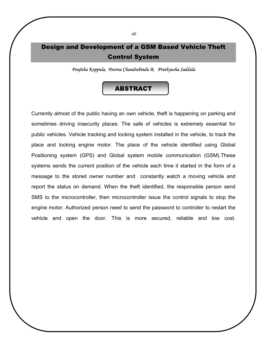# Design and Development of a GSM Based Vehicle Theft Control System

*Poojitha Koppula, Poorna Chandrabindu B, Prathyusha Saddala* 

## ABSTRACT

Currently almost of the public having an own vehicle, theft is happening on parking and sometimes driving insecurity places. The safe of vehicles is extremely essential for public vehicles. Vehicle tracking and locking system installed in the vehicle, to track the place and locking engine motor. The place of the vehicle identified using Global Positioning system (GPS) and Global system mobile communication (GSM).These systems sends the current position of the vehicle each time it started in the form of a message to the stored owner number and constantly watch a moving vehicle and report the status on demand. When the theft identified, the responsible person send SMS to the microcontroller, then microcontroller issue the control signals to stop the engine motor. Authorized person need to send the password to controller to restart the vehicle and open the door. This is more secured, reliable and low cost.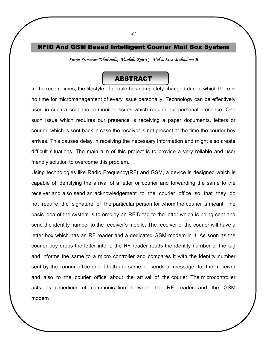# RFID And GSM Based Intelligent Courier Mail Box System

*Surya Srimayee Dhulipala, Vaidehi Rao V, Vidya Sree Mahadeva B* 

### ABSTRACT

In the recent times, the lifestyle of people has completely changed due to which there is no time for micromanagement of every issue personally. Technology can be effectively used in such a scenario to monitor issues which require our personal presence. One such issue which requires our presence is receiving a paper documents, letters or courier, which is sent back in case the receiver is not present at the time the courier boy arrives. This causes delay in receiving the necessary information and might also create difficult situations. The main aim of this project is to provide a very reliable and user friendly solution to overcome this problem.

Using technologies like Radio Frequency(RF) and GSM, a device is designed which is capable of identifying the arrival of a letter or courier and forwarding the same to the receiver and also send an acknowledgement to the courier office so that they do not require the signature of the particular person for whom the courier is meant. The basic idea of the system is to employ an RFID tag to the letter which is being sent and send the identity number to the receiver's mobile. The receiver of the courier will have a letter box which has an RF reader and a dedicated GSM modem in it. As soon as the courier boy drops the letter into it, the RF reader reads the identity number of the tag and informs the same to a micro controller and compares it with the identity number sent by the courier office and if both are same, it sends a message to the receiver and also to the courier office about the arrival of the courier. The microcontroller acts as a medium of communication between the RF reader and the GSM modem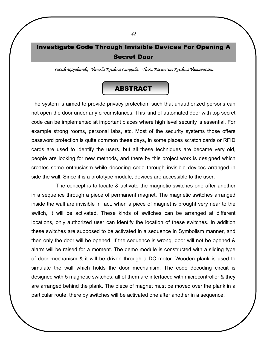# Investigate Code Through Invisible Devices For Opening A Secret Door

*Suresh Rayabandi, Vamshi Krishna Gangula, Thiru Pavan Sai Krishna Vemavarapu* 

### ABSTRACT

The system is aimed to provide privacy protection, such that unauthorized persons can not open the door under any circumstances. This kind of automated door with top secret code can be implemented at important places where high level security is essential. For example strong rooms, personal labs, etc. Most of the security systems those offers password protection is quite common these days, in some places scratch cards or RFID cards are used to identify the users, but all these techniques are became very old, people are looking for new methods, and there by this project work is designed which creates some enthusiasm while decoding code through invisible devices arranged in side the wall. Since it is a prototype module, devices are accessible to the user.

 The concept is to locate & activate the magnetic switches one after another in a sequence through a piece of permanent magnet. The magnetic switches arranged inside the wall are invisible in fact, when a piece of magnet is brought very near to the switch, it will be activated. These kinds of switches can be arranged at different locations, only authorized user can identify the location of these switches. In addition these switches are supposed to be activated in a sequence in Symbolism manner, and then only the door will be opened. If the sequence is wrong, door will not be opened & alarm will be raised for a moment. The demo module is constructed with a sliding type of door mechanism & it will be driven through a DC motor. Wooden plank is used to simulate the wall which holds the door mechanism. The code decoding circuit is designed with 5 magnetic switches, all of them are interfaced with microcontroller & they are arranged behind the plank. The piece of magnet must be moved over the plank in a particular route, there by switches will be activated one after another in a sequence.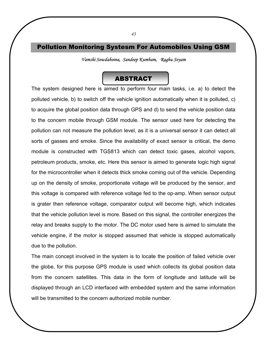### Pollution Monitoring Systesm For Automobiles Using GSM

*Vamshi Sowdaboina, Sandeep Kumbam, Raghu Soyam* 

## ABSTRACT

The system designed here is aimed to perform four main tasks, i.e. a) to detect the polluted vehicle, b) to switch off the vehicle ignition automatically when it is polluted, c) to acquire the global position data through GPS and d) to send the vehicle position data to the concern mobile through GSM module. The sensor used here for detecting the pollution can not measure the pollution level, as it is a universal sensor it can detect all sorts of gasses and smoke. Since the availability of exact sensor is critical, the demo module is constructed with TGS813 which can detect toxic gases, alcohol vapors, petroleum products, smoke, etc. Here this sensor is aimed to generate logic high signal for the microcontroller when it detects thick smoke coming out of the vehicle. Depending up on the density of smoke, proportionate voltage will be produced by the sensor, and this voltage is compared with reference voltage fed to the op-amp. When sensor output is grater then reference voltage, comparator output will become high, which indicates that the vehicle pollution level is more. Based on this signal, the controller energizes the relay and breaks supply to the motor. The DC motor used here is aimed to simulate the vehicle engine, if the motor is stopped assumed that vehicle is stopped automatically due to the pollution.

The main concept involved in the system is to locate the position of failed vehicle over the globe, for this purpose GPS module is used which collects its global position data from the concern satellites. This data in the form of longitude and latitude will be displayed through an LCD interfaced with embedded system and the same information will be transmitted to the concern authorized mobile number.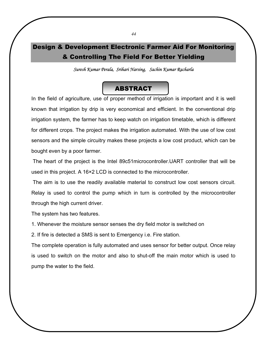# Design & Development Electronic Farmer Aid For Monitoring & Controlling The Field For Better Yielding

*Suresh Kumar Perala, Srihari Narsing, Sachin Kumar Racharla* 

### ABSTRACT

In the field of agriculture, use of proper method of irrigation is important and it is well known that irrigation by drip is very economical and efficient. In the conventional drip irrigation system, the farmer has to keep watch on irrigation timetable, which is different for different crops. The project makes the irrigation automated. With the use of low cost sensors and the simple circuitry makes these projects a low cost product, which can be bought even by a poor farmer.

 The heart of the project is the Intel 89c51microcontroller.UART controller that will be used in this project. A 16×2 LCD is connected to the microcontroller.

 The aim is to use the readily available material to construct low cost sensors circuit. Relay is used to control the pump which in turn is controlled by the microcontroller through the high current driver.

The system has two features.

1. Whenever the moisture sensor senses the dry field motor is switched on

2. If fire is detected a SMS is sent to Emergency i.e. Fire station.

The complete operation is fully automated and uses sensor for better output. Once relay is used to switch on the motor and also to shut-off the main motor which is used to pump the water to the field.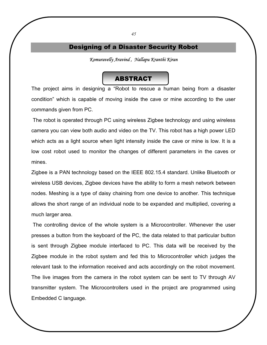#### Designing of a Disaster Security Robot

#### *Komuravelly Aravind , Nallapu Kranthi Kiran*

# ABSTRACT

The project aims in designing a "Robot to rescue a human being from a disaster condition" which is capable of moving inside the cave or mine according to the user commands given from PC.

 The robot is operated through PC using wireless Zigbee technology and using wireless camera you can view both audio and video on the TV. This robot has a high power LED which acts as a light source when light intensity inside the cave or mine is low. It is a low cost robot used to monitor the changes of different parameters in the caves or mines.

Zigbee is a PAN technology based on the IEEE 802.15.4 standard. Unlike Bluetooth or wireless USB devices, Zigbee devices have the ability to form a mesh network between nodes. Meshing is a type of daisy chaining from one device to another. This technique allows the short range of an individual node to be expanded and multiplied, covering a much larger area.

 The controlling device of the whole system is a Microcontroller. Whenever the user presses a button from the keyboard of the PC, the data related to that particular button is sent through Zigbee module interfaced to PC. This data will be received by the Zigbee module in the robot system and fed this to Microcontroller which judges the relevant task to the information received and acts accordingly on the robot movement. The live images from the camera in the robot system can be sent to TV through AV transmitter system. The Microcontrollers used in the project are programmed using Embedded C language.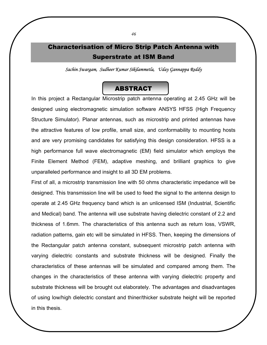# Characterisation of Micro Strip Patch Antenna with Superstrate at ISM Band

*Sachin Swargam, Sudheer Kumar Sikilammetla, Uday Gannappa Reddy* 

### ABSTRACT

In this project a Rectangular Microstrip patch antenna operating at 2.45 GHz will be designed using electromagnetic simulation software ANSYS HFSS (High Frequency Structure Simulator). Planar antennas, such as microstrip and printed antennas have the attractive features of low profile, small size, and conformability to mounting hosts and are very promising candidates for satisfying this design consideration. HFSS is a high performance full wave electromagnetic (EM) field simulator which employs the Finite Element Method (FEM), adaptive meshing, and brilliant graphics to give unparalleled performance and insight to all 3D EM problems.

First of all, a microstrip transmission line with 50 ohms characteristic impedance will be designed. This transmission line will be used to feed the signal to the antenna design to operate at 2.45 GHz frequency band which is an unlicensed ISM (Industrial, Scientific and Medical) band. The antenna will use substrate having dielectric constant of 2.2 and thickness of 1.6mm. The characteristics of this antenna such as return loss, VSWR, radiation patterns, gain etc will be simulated in HFSS. Then, keeping the dimensions of the Rectangular patch antenna constant, subsequent microstrip patch antenna with varying dielectric constants and substrate thickness will be designed. Finally the characteristics of these antennas will be simulated and compared among them. The changes in the characteristics of these antenna with varying dielectric property and substrate thickness will be brought out elaborately. The advantages and disadvantages of using low/high dielectric constant and thiner/thicker substrate height will be reported in this thesis.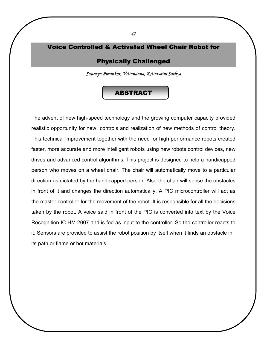## Voice Controlled & Activated Wheel Chair Robot for

### Physically Challenged

*Sowmya Purankar, V.Vandana, K.Varshini Sathya* 

# ABSTRACT

The advent of new high-speed technology and the growing computer capacity provided realistic opportunity for new controls and realization of new methods of control theory. This technical improvement together with the need for high performance robots created faster, more accurate and more intelligent robots using new robots control devices, new drives and advanced control algorithms. This project is designed to help a handicapped person who moves on a wheel chair. The chair will automatically move to a particular direction as dictated by the handicapped person. Also the chair will sense the obstacles in front of it and changes the direction automatically. A PIC microcontroller will act as the master controller for the movement of the robot. It is responsible for all the decisions taken by the robot. A voice said in front of the PIC is converted into text by the Voice Recognition IC HM 2007 and is fed as input to the controller. So the controller reacts to it. Sensors are provided to assist the robot position by itself when it finds an obstacle in its path or flame or hot materials.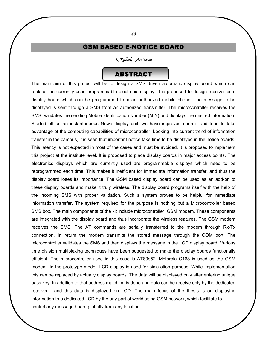### GSM BASED E-NOTICE BOARD

*K.Rahul, A.Varun* 

# ABSTRACT

The main aim of this project will be to design a SMS driven automatic display board which can replace the currently used programmable electronic display. It is proposed to design receiver cum display board which can be programmed from an authorized mobile phone. The message to be displayed is sent through a SMS from an authorized transmitter. The microcontroller receives the SMS, validates the sending Mobile Identification Number (MIN) and displays the desired information. Started off as an instantaneous News display unit, we have improved upon it and tried to take advantage of the computing capabilities of microcontroller. Looking into current trend of information transfer in the campus, it is seen that important notice take time to be displayed in the notice boards. This latency is not expected in most of the cases and must be avoided. It is proposed to implement this project at the institute level. It is proposed to place display boards in major access points. The electronics displays which are currently used are programmable displays which need to be reprogrammed each time. This makes it inefficient for immediate information transfer, and thus the display board loses its importance. The GSM based display board can be used as an add-on to these display boards and make it truly wireless. The display board programs itself with the help of the incoming SMS with proper validation. Such a system proves to be helpful for immediate information transfer. The system required for the purpose is nothing but a Microcontroller based SMS box. The main components of the kit include microcontroller, GSM modem. These components are integrated with the display board and thus incorporate the wireless features. The GSM modem receives the SMS. The AT commands are serially transferred to the modem through Rx-Tx connection. In return the modem transmits the stored message through the COM port. The microcontroller validates the SMS and then displays the message in the LCD display board. Various time division multiplexing techniques have been suggested to make the display boards functionally efficient. The microcontroller used in this case is AT89s52. Motorola C168 is used as the GSM modem. In the prototype model, LCD display is used for simulation purpose. While implementation this can be replaced by actually display boards. The data will be displayed only after entering unique pass key .In addition to that address matching is done and data can be receive only by the dedicated receiver , and this data is displayed on LCD. The main focus of the thesis is on displaying information to a dedicated LCD by the any part of world using GSM network, which facilitate to control any message board globally from any location.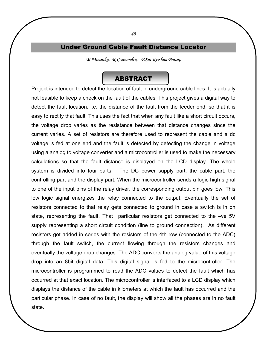#### Under Ground Cable Fault Distance Locator

*M.Mounika, R.Gyanendra, P.Sai Krishna Pratap* 

# ABSTRACT

Project is intended to detect the location of fault in underground cable lines. It is actually not feasible to keep a check on the fault of the cables. This project gives a digital way to detect the fault location, i.e. the distance of the fault from the feeder end, so that it is easy to rectify that fault. This uses the fact that when any fault like a short circuit occurs, the voltage drop varies as the resistance between that distance changes since the current varies. A set of resistors are therefore used to represent the cable and a dc voltage is fed at one end and the fault is detected by detecting the change in voltage using a analog to voltage converter and a microcontroller is used to make the necessary calculations so that the fault distance is displayed on the LCD display. The whole system is divided into four parts – The DC power supply part, the cable part, the controlling part and the display part. When the microcontroller sends a logic high signal to one of the input pins of the relay driver, the corresponding output pin goes low. This low logic signal energizes the relay connected to the output. Eventually the set of resistors connected to that relay gets connected to ground in case a switch is in on state, representing the fault. That particular resistors get connected to the –ve 5V supply representing a short circuit condition (line to ground connection). As different resistors get added in series with the resistors of the 4th row (connected to the ADC) through the fault switch, the current flowing through the resistors changes and eventually the voltage drop changes. The ADC converts the analog value of this voltage drop into an 8bit digital data. This digital signal is fed to the microcontroller. The microcontroller is programmed to read the ADC values to detect the fault which has occurred at that exact location. The microcontroller is interfaced to a LCD display which displays the distance of the cable in kilometers at which the fault has occurred and the particular phase. In case of no fault, the display will show all the phases are in no fault state.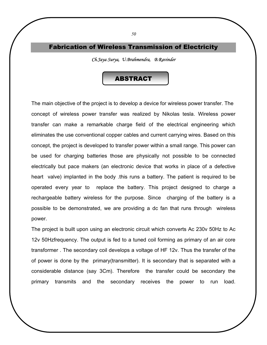### Fabrication of Wireless Transmission of Electricity

*Ch.Jaya Surya, U.Brahmendra, B.Ravinder* 

### ABSTRACT

The main objective of the project is to develop a device for wireless power transfer. The concept of wireless power transfer was realized by Nikolas tesla. Wireless power transfer can make a remarkable charge field of the electrical engineering which eliminates the use conventional copper cables and current carrying wires. Based on this concept, the project is developed to transfer power within a small range. This power can be used for charging batteries those are physically not possible to be connected electrically but pace makers (an electronic device that works in place of a defective heart valve) implanted in the body this runs a battery. The patient is required to be operated every year to replace the battery. This project designed to charge a rechargeable battery wireless for the purpose. Since charging of the battery is a possible to be demonstrated, we are providing a dc fan that runs through wireless power.

The project is built upon using an electronic circuit which converts Ac 230v 50Hz to Ac 12v 50Hzfrequency. The output is fed to a tuned coil forming as primary of an air core transformer . The secondary coil develops a voltage of HF 12v. Thus the transfer of the of power is done by the primary(transmitter). It is secondary that is separated with a considerable distance (say 3Cm). Therefore the transfer could be secondary the primary transmits and the secondary receives the power to run load.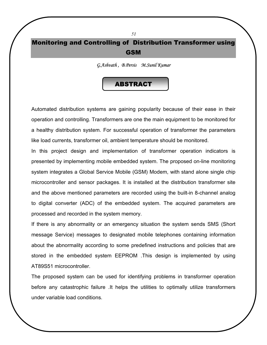# Monitoring and Controlling of Distribution Transformer using GSM

*G.Ashvath , B.Persis M.Sunil Kumar* 

### ABSTRACT

Automated distribution systems are gaining popularity because of their ease in their operation and controlling. Transformers are one the main equipment to be monitored for a healthy distribution system. For successful operation of transformer the parameters like load currents, transformer oil, ambient temperature should be monitored.

In this project design and implementation of transformer operation indicators is presented by implementing mobile embedded system. The proposed on-line monitoring system integrates a Global Service Mobile (GSM) Modem, with stand alone single chip microcontroller and sensor packages. It is installed at the distribution transformer site and the above mentioned parameters are recorded using the built-in 8-channel analog to digital converter (ADC) of the embedded system. The acquired parameters are processed and recorded in the system memory.

If there is any abnormality or an emergency situation the system sends SMS (Short message Service) messages to designated mobile telephones containing information about the abnormality according to some predefined instructions and policies that are stored in the embedded system EEPROM .This design is implemented by using AT89S51 microcontroller.

The proposed system can be used for identifying problems in transformer operation before any catastrophic failure .It helps the utilities to optimally utilize transformers under variable load conditions.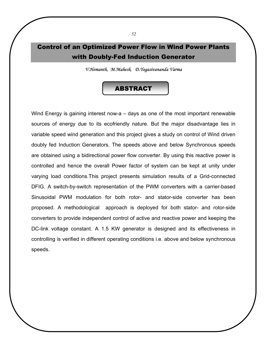# Control of an Optimized Power Flow in Wind Power Plants with Doubly-Fed Induction Generator

*V.Hemanth, M.Mahesh, D.Yogasivananda Varma* 

# ABSTRACT

Wind Energy is gaining interest now-a – days as one of the most important renewable sources of energy due to its ecofriendly nature. But the major disadvantage lies in variable speed wind generation and this project gives a study on control of Wind driven doubly fed Induction Generators. The speeds above and below Synchronous speeds are obtained using a bidirectional power flow converter. By using this reactive power is controlled and hence the overall Power factor of system can be kept at unity under varying load conditions.This project presents simulation results of a Grid-connected DFIG. A switch-by-switch representation of the PWM converters with a carrier-based Sinusoidal PWM modulation for both rotor- and stator-side converter has been proposed. A methodological approach is deployed for both stator- and rotor-side converters to provide independent control of active and reactive power and keeping the DC-link voltage constant. A 1.5 KW generator is designed and its effectiveness in controlling is verified in different operating conditions i.e. above and below synchronous speeds.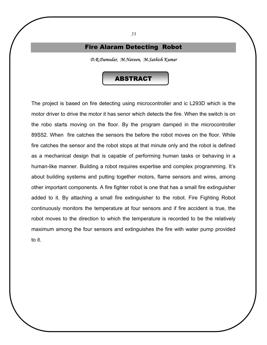#### Fire Alaram Detecting Robot

*D.R.Damodar, M.Naveen, M.Sathish Kumar* 

### ABSTRACT

The project is based on fire detecting using microcontroller and ic L293D which is the motor driver to drive the motor it has senor which detects the fire. When the switch is on the robo starts moving on the floor. By the program damped in the microcontroller 89S52. When fire catches the sensors the before the robot moves on the floor. While fire catches the sensor and the robot stops at that minute only and the robot is defined as a mechanical design that is capable of performing human tasks or behaving in a human-like manner. Building a robot requires expertise and complex programming. It's about building systems and putting together motors, flame sensors and wires, among other important components. A fire fighter robot is one that has a small fire extinguisher added to it. By attaching a small fire extinguisher to the robot. Fire Fighting Robot continuously monitors the temperature at four sensors and if fire accident is true, the robot moves to the direction to which the temperature is recorded to be the relatively maximum among the four sensors and extinguishes the fire with water pump provided to it.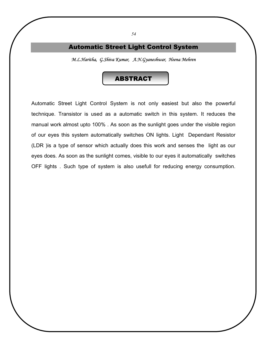### Automatic Street Light Control System

*M.L.Haritha, G.Shiva Kumar, A.N.Gyaneshwar, Heena Mehren* 

### ABSTRACT

Automatic Street Light Control System is not only easiest but also the powerful technique. Transistor is used as a automatic switch in this system. It reduces the manual work almost upto 100% . As soon as the sunlight goes under the visible region of our eyes this system automatically switches ON lights. Light Dependant Resistor (LDR )is a type of sensor which actually does this work and senses the light as our eyes does. As soon as the sunlight comes, visible to our eyes it automatically switches OFF lights . Such type of system is also usefull for reducing energy consumption.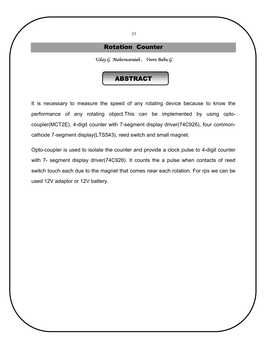### Rotation Counter

*Uday.G Maheswaraiah , Veera Babu.G* 

### ABSTRACT

It is necessary to measure the speed of any rotating device because to know the performance of any rotating object.This can be implemented by using optocoupler(MCT2E), 4-digit counter with 7-segment display driver(74C926), four commoncathode 7-segment display(LTS543), reed switch and small magnet.

Opto-coupler is used to isolate the counter and provide a clock pulse to 4-digit counter with 7- segment display driver(74C926). It counts the a pulse when contacts of reed switch touch each due to the magnet that comes near each rotation. For rps we can be used 12V adaptor or 12V battery.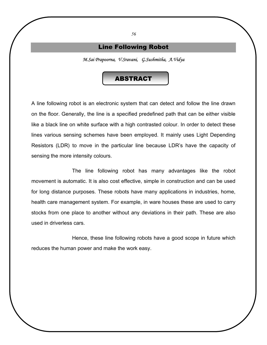### Line Following Robot

*M.Sai Prapoorna, V.Sravani, G.Sushmitha, A.Vidya* 

### ABSTRACT

A line following robot is an electronic system that can detect and follow the line drawn on the floor. Generally, the line is a specified predefined path that can be either visible like a black line on white surface with a high contrasted colour. In order to detect these lines various sensing schemes have been employed. It mainly uses Light Depending Resistors (LDR) to move in the particular line because LDR's have the capacity of sensing the more intensity colours.

 The line following robot has many advantages like the robot movement is automatic. It is also cost effective, simple in construction and can be used for long distance purposes. These robots have many applications in industries, home, health care management system. For example, in ware houses these are used to carry stocks from one place to another without any deviations in their path. These are also used in driverless cars.

 Hence, these line following robots have a good scope in future which reduces the human power and make the work easy.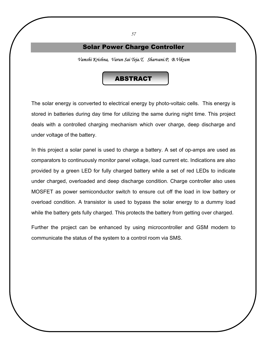#### Solar Power Charge Controller

*Vamshi Krishna, Varun Sai Teja.T, Sharvani.P, B.Vikram* 

### ABSTRACT

The solar energy is converted to electrical energy by photo-voltaic cells. This energy is stored in batteries during day time for utilizing the same during night time. This project deals with a controlled charging mechanism which over charge, deep discharge and under voltage of the battery.

In this project a solar panel is used to charge a battery. A set of op-amps are used as comparators to continuously monitor panel voltage, load current etc. Indications are also provided by a green LED for fully charged battery while a set of red LEDs to indicate under charged, overloaded and deep discharge condition. Charge controller also uses MOSFET as power semiconductor switch to ensure cut off the load in low battery or overload condition. A transistor is used to bypass the solar energy to a dummy load while the battery gets fully charged. This protects the battery from getting over charged.

Further the project can be enhanced by using microcontroller and GSM modem to communicate the status of the system to a control room via SMS.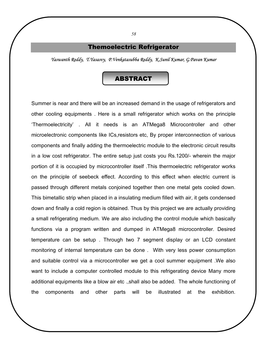#### Themoelectric Refrigerator

*Yaswanth Reddy, T.Yasasvy, P.Venkatasubba Reddy, K.Sunil Kumar, G.Pavan Kumar* 

### ABSTRACT

Summer is near and there will be an increased demand in the usage of refrigerators and other cooling equipments . Here is a small refrigerator which works on the principle 'Thermoelectricity' . All it needs is an ATMega8 Microcontroller and other microelectronic components like ICs,resistors etc, By proper interconnection of various components and finally adding the thermoelectric module to the electronic circuit results in a low cost refrigerator. The entire setup just costs you Rs.1200/- wherein the major portion of it is occupied by microcontroller itself .This thermoelectric refrigerator works on the principle of seebeck effect. According to this effect when electric current is passed through different metals conjoined together then one metal gets cooled down. This bimetallic strip when placed in a insulating medium filled with air, it gets condensed down and finally a cold region is obtained. Thus by this project we are actually providing a small refrigerating medium. We are also including the control module which basically functions via a program written and dumped in ATMega8 microcontroller. Desired temperature can be setup . Through two 7 segment display or an LCD constant monitoring of internal temperature can be done . With very less power consumption and suitable control via a microcontroller we get a cool summer equipment .We also want to include a computer controlled module to this refrigerating device Many more additional equipments like a blow air etc .,shall also be added. The whole functioning of the components and other parts will be illustrated at the exhibition.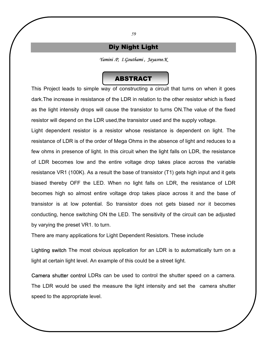### Diy Night Light

*Yamini .P, I.Gouthami , Jayasree.K* 

### ABSTRACT

This Project leads to simple way of constructing a circuit that turns on when it goes dark.The increase in resistance of the LDR in relation to the other resistor which is fixed as the light intensity drops will cause the transistor to turns ON.The value of the fixed resistor will depend on the LDR used,the transistor used and the supply voltage.

Light dependent resistor is a resistor whose resistance is dependent on light. The resistance of LDR is of the order of Mega Ohms in the absence of light and reduces to a few ohms in presence of light. In this circuit when the light falls on LDR, the resistance of LDR becomes low and the entire voltage drop takes place across the variable resistance VR1 (100K). As a result the base of transistor (T1) gets high input and it gets biased thereby OFF the LED. When no light falls on LDR, the resistance of LDR becomes high so almost entire voltage drop takes place across it and the base of transistor is at low potential. So transistor does not gets biased nor it becomes conducting, hence switching ON the LED. The sensitivity of the circuit can be adjusted by varying the preset VR1. to turn.

There are many applications for Light Dependent Resistors. These include

Lighting switch The most obvious application for an LDR is to automatically turn on a light at certain light level. An example of this could be a street light.

Camera shutter control LDRs can be used to control the shutter speed on a camera. The LDR would be used the measure the light intensity and set the camera shutter speed to the appropriate level.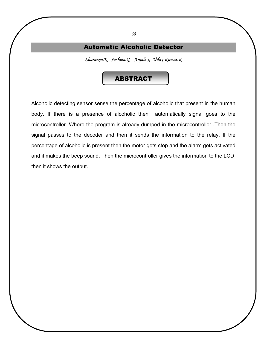## Automatic Alcoholic Detector

*Sharanya.K, Sushma.G, Anjali.S, Uday Kumar.K* 

### **ABSTRACT**

Alcoholic detecting sensor sense the percentage of alcoholic that present in the human body. If there is a presence of alcoholic then automatically signal goes to the microcontroller. Where the program is already dumped in the microcontroller .Then the signal passes to the decoder and then it sends the information to the relay. If the percentage of alcoholic is present then the motor gets stop and the alarm gets activated and it makes the beep sound. Then the microcontroller gives the information to the LCD then it shows the output.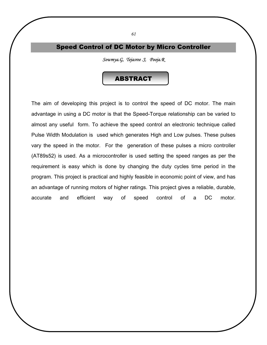### Speed Control of DC Motor by Micro Controller

*Sowmya.G, Tejasree .J, Pooja.R* 

### ABSTRACT

The aim of developing this project is to control the speed of DC motor. The main advantage in using a DC motor is that the Speed-Torque relationship can be varied to almost any useful form. To achieve the speed control an electronic technique called Pulse Width Modulation is used which generates High and Low pulses. These pulses vary the speed in the motor. For the generation of these pulses a micro controller (AT89s52) is used. As a microcontroller is used setting the speed ranges as per the requirement is easy which is done by changing the duty cycles time period in the program. This project is practical and highly feasible in economic point of view, and has an advantage of running motors of higher ratings. This project gives a reliable, durable, accurate and efficient way of speed control of a DC motor.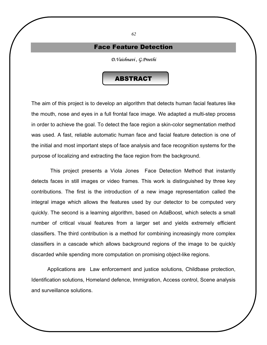### Face Feature Detection

*D.Vaishnavi , G.Preethi* 

### ABSTRACT

The aim of this project is to develop an algorithm that detects human facial features like the mouth, nose and eyes in a full frontal face image. We adapted a multi-step process in order to achieve the goal. To detect the face region a skin-color segmentation method was used. A fast, reliable automatic human face and facial feature detection is one of the initial and most important steps of face analysis and face recognition systems for the purpose of localizing and extracting the face region from the background.

 This project presents a Viola Jones Face Detection Method that instantly detects faces in still images or video frames. This work is distinguished by three key contributions. The first is the introduction of a new image representation called the integral image which allows the features used by our detector to be computed very quickly. The second is a learning algorithm, based on AdaBoost, which selects a small number of critical visual features from a larger set and yields extremely efficient classifiers. The third contribution is a method for combining increasingly more complex classifiers in a cascade which allows background regions of the image to be quickly discarded while spending more computation on promising object-like regions.

 Applications are Law enforcement and justice solutions, Childbase protection, Identification solutions, Homeland defence, Immigration, Access control, Scene analysis and surveillance solutions.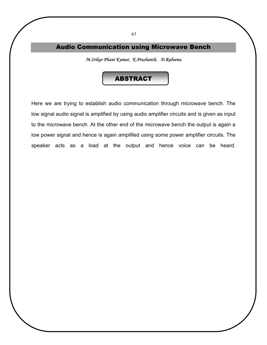### Audio Communication using Microwave Bench

*M.Srikar Phani Kumar, K.Prashanth, D.Rubeena* 

### ABSTRACT

Here we are trying to establish audio communication through microwave bench. The low signal audio signal is amplified by using audio amplifier circuits and is given as input to the microwave bench. At the other end of the microwave bench the output is again a low power signal and hence is again amplified using some power amplifier circuits. The speaker acts as a load at the output and hence voice can be heard.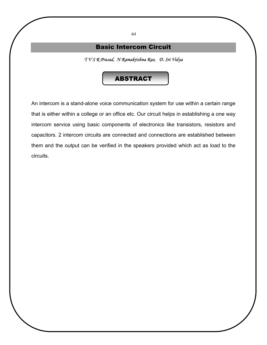### Basic Intercom Circuit

*T V S R Prasad, N Ramakrishna Rao, D. Sri Vidya* 

### ABSTRACT

An intercom is a stand-alone voice communication system for use within a certain range that is either within a college or an office etc. Our circuit helps in establishing a one way intercom service using basic components of electronics like transistors, resistors and capacitors. 2 intercom circuits are connected and connections are established between them and the output can be verified in the speakers provided which act as load to the circuits.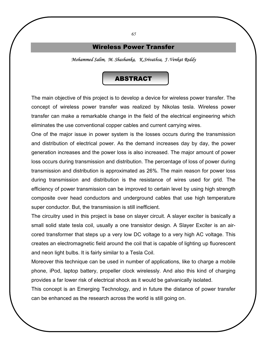#### Wireless Power Transfer

*Mohammed Salim, M. Shashanka, K.Srivathsa, J .Venkat Reddy* 

### ABSTRACT

The main objective of this project is to develop a device for wireless power transfer. The concept of wireless power transfer was realized by Nikolas tesla. Wireless power transfer can make a remarkable change in the field of the electrical engineering which eliminates the use conventional copper cables and current carrying wires.

One of the major issue in power system is the losses occurs during the transmission and distribution of electrical power. As the demand increases day by day, the power generation increases and the power loss is also increased. The major amount of power loss occurs during transmission and distribution. The percentage of loss of power during transmission and distribution is approximated as 26%. The main reason for power loss during transmission and distribution is the resistance of wires used for grid. The efficiency of power transmission can be improved to certain level by using high strength composite over head conductors and underground cables that use high temperature super conductor. But, the transmission is still inefficient.

The circuitry used in this project is base on slayer circuit. A slayer exciter is basically a small solid state tesla coil, usually a one transistor design. A Slayer Exciter is an aircored transformer that steps up a very low DC voltage to a very high AC voltage. This creates an electromagnetic field around the coil that is capable of lighting up fluorescent and neon light bulbs. It is fairly similar to a Tesla Coil.

Moreover this technique can be used in number of applications, like to charge a mobile phone, iPod, laptop battery, propeller clock wirelessly. And also this kind of charging provides a far lower risk of electrical shock as it would be galvanically isolated.

This concept is an Emerging Technology, and in future the distance of power transfer can be enhanced as the research across the world is still going on.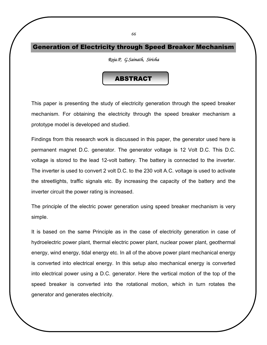### Generation of Electricity through Speed Breaker Mechanism

*Roja.P, G.Sainath, Sirisha* 

### ABSTRACT

This paper is presenting the study of electricity generation through the speed breaker mechanism. For obtaining the electricity through the speed breaker mechanism a prototype model is developed and studied.

Findings from this research work is discussed in this paper, the generator used here is permanent magnet D.C. generator. The generator voltage is 12 Volt D.C. This D.C. voltage is stored to the lead 12-volt battery. The battery is connected to the inverter. The inverter is used to convert 2 volt D.C. to the 230 volt A.C. voltage is used to activate the streetlights, traffic signals etc. By increasing the capacity of the battery and the inverter circuit the power rating is increased.

The principle of the electric power generation using speed breaker mechanism is very simple.

It is based on the same Principle as in the case of electricity generation in case of hydroelectric power plant, thermal electric power plant, nuclear power plant, geothermal energy, wind energy, tidal energy etc. In all of the above power plant mechanical energy is converted into electrical energy. In this setup also mechanical energy is converted into electrical power using a D.C. generator. Here the vertical motion of the top of the speed breaker is converted into the rotational motion, which in turn rotates the generator and generates electricity.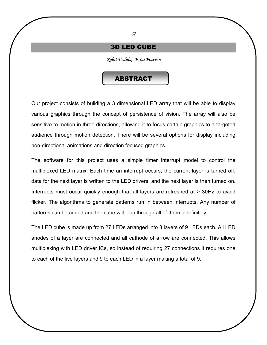### 3D LED CUBE

*Rohit Vedula, P.Sai Praveen* 

### ABSTRACT

Our project consists of building a 3 dimensional LED array that will be able to display various graphics through the concept of persistence of vision. The array will also be sensitive to motion in three directions, allowing it to focus certain graphics to a targeted audience through motion detection. There will be several options for display including non-directional animations and direction focused graphics.

The software for this project uses a simple timer interrupt model to control the multiplexed LED matrix. Each time an interrupt occurs, the current layer is turned off, data for the next layer is written to the LED drivers, and the next layer is then turned on. Interrupts must occur quickly enough that all layers are refreshed at > 30Hz to avoid flicker. The algorithms to generate patterns run in between interrupts. Any number of patterns can be added and the cube will loop through all of them indefinitely.

The LED cube is made up from 27 LEDs arranged into 3 layers of 9 LEDs each. All LED anodes of a layer are connected and all cathode of a row are connected. This allows multiplexing with LED driver ICs, so instead of requiring 27 connections it requires one to each of the five layers and 9 to each LED in a layer making a total of 9.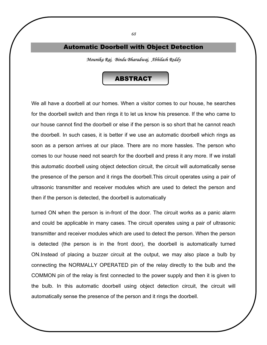#### Automatic Doorbell with Object Detection

*Mounika Raj, Bindu Bharadwaj, Abhilash Reddy* 

## ABSTRACT

We all have a doorbell at our homes. When a visitor comes to our house, he searches for the doorbell switch and then rings it to let us know his presence. If the who came to our house cannot find the doorbell or else if the person is so short that he cannot reach the doorbell. In such cases, it is better if we use an automatic doorbell which rings as soon as a person arrives at our place. There are no more hassles. The person who comes to our house need not search for the doorbell and press it any more. If we install this automatic doorbell using object detection circuit, the circuit will automatically sense the presence of the person and it rings the doorbell.This circuit operates using a pair of ultrasonic transmitter and receiver modules which are used to detect the person and then if the person is detected, the doorbell is automatically

turned ON when the person is in-front of the door. The circuit works as a panic alarm and could be applicable in many cases. The circuit operates using a pair of ultrasonic transmitter and receiver modules which are used to detect the person. When the person is detected (the person is in the front door), the doorbell is automatically turned ON.Instead of placing a buzzer circuit at the output, we may also place a bulb by connecting the NORMALLY OPERATED pin of the relay directly to the bulb and the COMMON pin of the relay is first connected to the power supply and then it is given to the bulb. In this automatic doorbell using object detection circuit, the circuit will automatically sense the presence of the person and it rings the doorbell.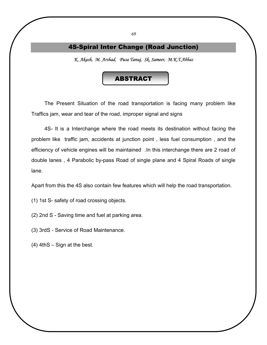#### 4S-Spiral Inter Change (Road Junction)

*K. Akash, M. Arshad, Pusa Tanuj, Sk. Sameer, M.K.T.Abbas* 

## ABSTRACT

 The Present Situation of the road transportation is facing many problem like Traffics jam, wear and tear of the road, improper signal and signs

 4S- It is a Interchange where the road meets its destination without facing the problem like traffic jam, accidents at junction point , less fuel consumption , and the efficiency of vehicle engines will be maintained .In this interchange there are 2 road of double lanes , 4 Parabolic by-pass Road of single plane and 4 Spiral Roads of single lane.

Apart from this the 4S also contain few features which will help the road transportation.

- (1) 1st S- safety of road crossing objects.
- (2) 2nd S Saving time and fuel at parking area.
- (3) 3rdS Service of Road Maintenance.
- (4) 4thS Sign at the best.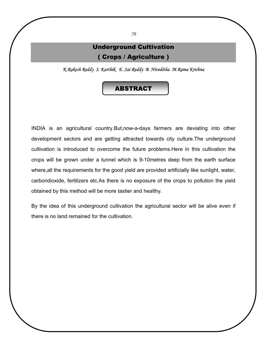# Underground Cultivation ( Crops / Agriculture )

*K.Rakesh Reddy S. Karthik E. Sai Reddy B. Niveditha M.Rama Krishna* 

## ABSTRACT

INDIA is an agricultural country.But,now-a-days farmers are deviating into other development sectors and are getting attracted towards city culture.The underground cultivation is introduced to overcome the future problems.Here in this cultivation the crops will be grown under a tunnel which is 9-10metres deep from the earth surface where,all the requirements for the good yield are provided artificially like sunlight, water, carbondioxide, fertilizers etc.As there is no exposure of the crops to pollution the yield obtained by this method will be more tastier and healthy.

By the idea of this underground cultivation the agricultural sector will be alive even if there is no land remained for the cultivation.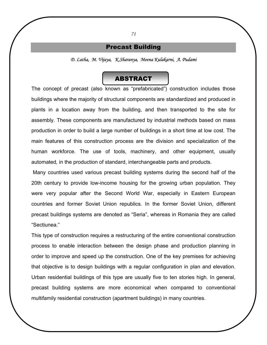#### Precast Building

*D. Latha, M. Vijaya, K.Sharanya, Meena Kulakarni, A. Pudami* 

## ABSTRACT

The concept of precast (also known as "prefabricated") construction includes those buildings where the majority of structural components are standardized and produced in plants in a location away from the building, and then transported to the site for assembly. These components are manufactured by industrial methods based on mass production in order to build a large number of buildings in a short time at low cost. The main features of this construction process are the division and specialization of the human workforce. The use of tools, machinery, and other equipment, usually automated, in the production of standard, interchangeable parts and products.

 Many countries used various precast building systems during the second half of the 20th century to provide low-income housing for the growing urban population. They were very popular after the Second World War, especially in Eastern European countries and former Soviet Union republics. In the former Soviet Union, different precast buildings systems are denoted as "Seria", whereas in Romania they are called "Sectiunea."

This type of construction requires a restructuring of the entire conventional construction process to enable interaction between the design phase and production planning in order to improve and speed up the construction. One of the key premises for achieving that objective is to design buildings with a regular configuration in plan and elevation. Urban residential buildings of this type are usually five to ten stories high. In general, precast building systems are more economical when compared to conventional multifamily residential construction (apartment buildings) in many countries.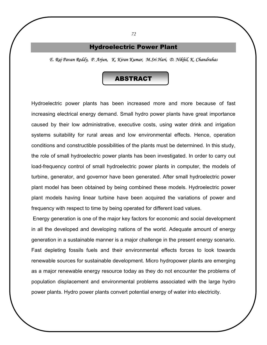#### Hydroelectric Power Plant

*E. Raj Pavan Reddy, P. Arjun, K. Kiran Kumar, M.Sri Hari, D. Nikhil, K. Chandrahas* 

## ABSTRACT

Hydroelectric power plants has been increased more and more because of fast increasing electrical energy demand. Small hydro power plants have great importance caused by their low administrative, executive costs, using water drink and irrigation systems suitability for rural areas and low environmental effects. Hence, operation conditions and constructible possibilities of the plants must be determined. In this study, the role of small hydroelectric power plants has been investigated. In order to carry out load-frequency control of small hydroelectric power plants in computer, the models of turbine, generator, and governor have been generated. After small hydroelectric power plant model has been obtained by being combined these models. Hydroelectric power plant models having linear turbine have been acquired the variations of power and frequency with respect to time by being operated for different load values.

 Energy generation is one of the major key factors for economic and social development in all the developed and developing nations of the world. Adequate amount of energy generation in a sustainable manner is a major challenge in the present energy scenario. Fast depleting fossils fuels and their environmental effects forces to look towards renewable sources for sustainable development. Micro hydropower plants are emerging as a major renewable energy resource today as they do not encounter the problems of population displacement and environmental problems associated with the large hydro power plants. Hydro power plants convert potential energy of water into electricity.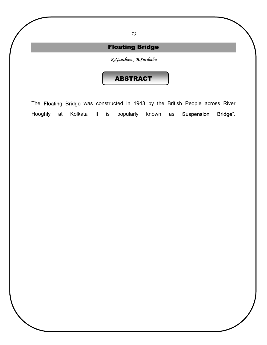# Floating Bridge

*K.Gautham , B.Suribabu* 

#### **ABSTRACT**

The Floating Bridge was constructed in 1943 by the British People across River Hooghly at Kolkata It is popularly known as Suspension Bridge".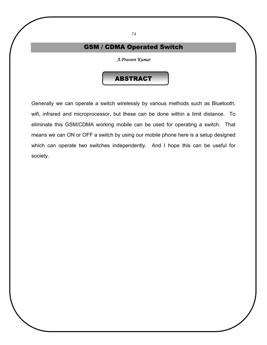## GSM / CDMA Operated Switch

*A.Praveen Kumar* 

## ABSTRACT

Generally we can operate a switch wirelessly by various methods such as Bluetooth, wifi, infrared and microprocessor, but these can be done within a limit distance. To eliminate this GSM/CDMA working mobile can be used for operating a switch. That means we can ON or OFF a switch by using our mobile phone here is a setup designed which can operate two switches independently. And I hope this can be useful for society.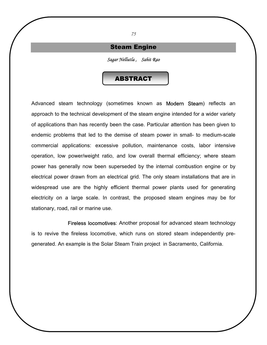#### Steam Engine

*Sagar Nellutla , Sahit Rao* 

#### ABSTRACT

Advanced steam technology (sometimes known as Modern Steam) reflects an approach to the technical development of the steam engine intended for a wider variety of applications than has recently been the case. Particular attention has been given to endemic problems that led to the demise of steam power in small- to medium-scale commercial applications: excessive pollution, maintenance costs, labor intensive operation, low power/weight ratio, and low overall thermal efficiency; where steam power has generally now been superseded by the internal combustion engine or by electrical power drawn from an electrical grid. The only steam installations that are in widespread use are the highly efficient thermal power plants used for generating electricity on a large scale. In contrast, the proposed steam engines may be for stationary, road, rail or marine use.

 Fireless locomotives: Another proposal for advanced steam technology is to revive the fireless locomotive, which runs on stored steam independently pregenerated. An example is the Solar Steam Train project in Sacramento, California.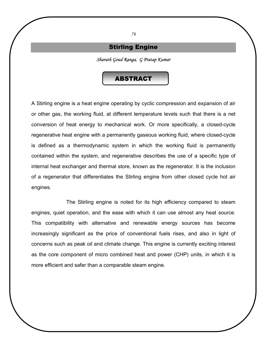## Stirling Engine

*Sharath Goud Ranga, G Pratap Kumar* 

#### ABSTRACT

A Stirling engine is a heat engine operating by cyclic compression and expansion of air or other gas, the working fluid, at different temperature levels such that there is a net conversion of heat energy to mechanical work. Or more specifically, a closed-cycle regenerative heat engine with a permanently gaseous working fluid, where closed-cycle is defined as a thermodynamic system in which the working fluid is permanently contained within the system, and regenerative describes the use of a specific type of internal heat exchanger and thermal store, known as the regenerator. It is the inclusion of a regenerator that differentiates the Stirling engine from other closed cycle hot air engines.

 The Stirling engine is noted for its high efficiency compared to steam engines, quiet operation, and the ease with which it can use almost any heat source. This compatibility with alternative and renewable energy sources has become increasingly significant as the price of conventional fuels rises, and also in light of concerns such as peak oil and climate change. This engine is currently exciting interest as the core component of micro combined heat and power (CHP) units, in which it is more efficient and safer than a comparable steam engine.